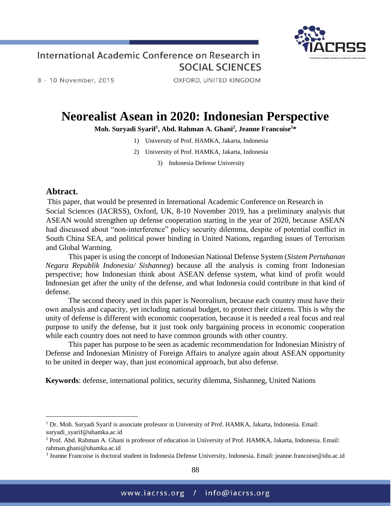

8 - 10 November, 2019

OXFORD, UNITED KINGDOM

# **Neorealist Asean in 2020: Indonesian Perspective**

#### **Moh. Suryadi Syarif<sup>1</sup> , Abd. Rahman A. Ghani<sup>2</sup> , Jeanne Francoise<sup>3</sup>\***

- 1) University of Prof. HAMKA, Jakarta, Indonesia
- 2) University of Prof. HAMKA, Jakarta, Indonesia

3) Indonesia Defense University

#### **Abtract.**

 $\overline{a}$ 

This paper, that would be presented in International Academic Conference on Research in Social Sciences (IACRSS), Oxford, UK, 8-10 November 2019, has a preliminary analysis that ASEAN would strengthen up defense cooperation starting in the year of 2020, because ASEAN had discussed about "non-interference" policy security dilemma, despite of potential conflict in South China SEA, and political power binding in United Nations, regarding issues of Terrorism and Global Warming.

This paper is using the concept of Indonesian National Defense System (*Sistem Pertahanan Negara Republik Indonesia/ Sishanneg*) because all the analysis is coming from Indonesian perspective; how Indonesian think about ASEAN defense system, what kind of profit would Indonesian get after the unity of the defense, and what Indonesia could contribute in that kind of defense.

The second theory used in this paper is Neorealism, because each country must have their own analysis and capacity, yet including national budget, to protect their citizens. This is why the unity of defense is different with economic cooperation, because it is needed a real focus and real purpose to unify the defense, but it just took only bargaining process in economic cooperation while each country does not need to have common grounds with other country.

This paper has purpose to be seen as academic recommendation for Indonesian Ministry of Defense and Indonesian Ministry of Foreign Affairs to analyze again about ASEAN opportunity to be united in deeper way, than just economical approach, but also defense.

**Keywords**: defense, international politics, security dilemma, Sishanneg, United Nations

<sup>&</sup>lt;sup>1</sup> Dr. Moh. Suryadi Syarif is associate professor in University of Prof. HAMKA, Jakarta, Indonesia. Email: suryadi\_syarif@uhamka.ac.id

<sup>2</sup> Prof. Abd. Rahman A. Ghani is professor of education in University of Prof. HAMKA, Jakarta, Indonesia. Email: rahman.ghani@uhamka.ac.id

<sup>3</sup> Jeanne Francoise is doctoral student in Indonesia Defense University, Indonesia. Email: jeanne.francoise@idu.ac.id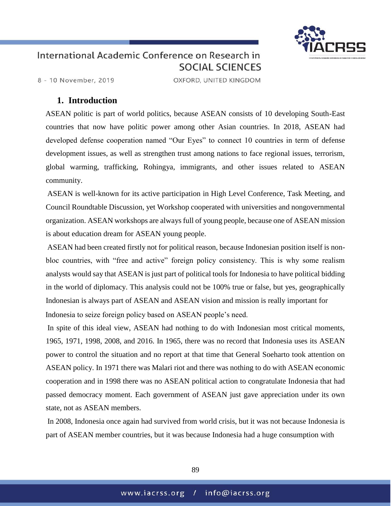

8 - 10 November, 2019

OXFORD, UNITED KINGDOM

#### **1. Introduction**

ASEAN politic is part of world politics, because ASEAN consists of 10 developing South-East countries that now have politic power among other Asian countries. In 2018, ASEAN had developed defense cooperation named "Our Eyes" to connect 10 countries in term of defense development issues, as well as strengthen trust among nations to face regional issues, terrorism, global warming, trafficking, Rohingya, immigrants, and other issues related to ASEAN community.

ASEAN is well-known for its active participation in High Level Conference, Task Meeting, and Council Roundtable Discussion, yet Workshop cooperated with universities and nongovernmental organization. ASEAN workshops are always full of young people, because one of ASEAN mission is about education dream for ASEAN young people.

ASEAN had been created firstly not for political reason, because Indonesian position itself is nonbloc countries, with "free and active" foreign policy consistency. This is why some realism analysts would say that ASEAN is just part of political tools for Indonesia to have political bidding in the world of diplomacy. This analysis could not be 100% true or false, but yes, geographically Indonesian is always part of ASEAN and ASEAN vision and mission is really important for Indonesia to seize foreign policy based on ASEAN people's need.

In spite of this ideal view, ASEAN had nothing to do with Indonesian most critical moments, 1965, 1971, 1998, 2008, and 2016. In 1965, there was no record that Indonesia uses its ASEAN power to control the situation and no report at that time that General Soeharto took attention on ASEAN policy. In 1971 there was Malari riot and there was nothing to do with ASEAN economic cooperation and in 1998 there was no ASEAN political action to congratulate Indonesia that had passed democracy moment. Each government of ASEAN just gave appreciation under its own state, not as ASEAN members.

In 2008, Indonesia once again had survived from world crisis, but it was not because Indonesia is part of ASEAN member countries, but it was because Indonesia had a huge consumption with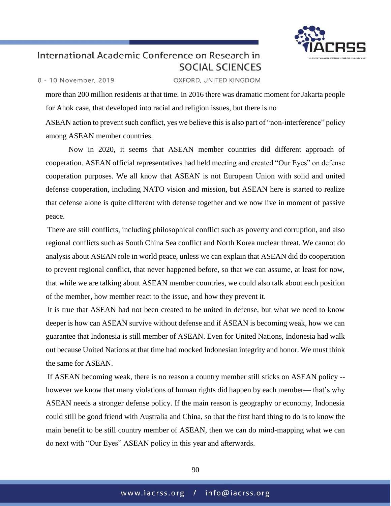

8 - 10 November, 2019

OXFORD, UNITED KINGDOM

more than 200 million residents at that time. In 2016 there was dramatic moment for Jakarta people for Ahok case, that developed into racial and religion issues, but there is no

ASEAN action to prevent such conflict, yes we believe this is also part of "non-interference" policy among ASEAN member countries.

Now in 2020, it seems that ASEAN member countries did different approach of cooperation. ASEAN official representatives had held meeting and created "Our Eyes" on defense cooperation purposes. We all know that ASEAN is not European Union with solid and united defense cooperation, including NATO vision and mission, but ASEAN here is started to realize that defense alone is quite different with defense together and we now live in moment of passive peace.

There are still conflicts, including philosophical conflict such as poverty and corruption, and also regional conflicts such as South China Sea conflict and North Korea nuclear threat. We cannot do analysis about ASEAN role in world peace, unless we can explain that ASEAN did do cooperation to prevent regional conflict, that never happened before, so that we can assume, at least for now, that while we are talking about ASEAN member countries, we could also talk about each position of the member, how member react to the issue, and how they prevent it.

It is true that ASEAN had not been created to be united in defense, but what we need to know deeper is how can ASEAN survive without defense and if ASEAN is becoming weak, how we can guarantee that Indonesia is still member of ASEAN. Even for United Nations, Indonesia had walk out because United Nations at that time had mocked Indonesian integrity and honor. We must think the same for ASEAN.

If ASEAN becoming weak, there is no reason a country member still sticks on ASEAN policy - however we know that many violations of human rights did happen by each member— that's why ASEAN needs a stronger defense policy. If the main reason is geography or economy, Indonesia could still be good friend with Australia and China, so that the first hard thing to do is to know the main benefit to be still country member of ASEAN, then we can do mind-mapping what we can do next with "Our Eyes" ASEAN policy in this year and afterwards.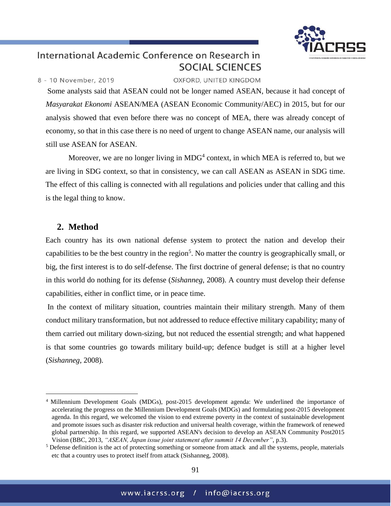

8 - 10 November, 2019

OXFORD, UNITED KINGDOM

Some analysts said that ASEAN could not be longer named ASEAN, because it had concept of *Masyarakat Ekonomi* ASEAN/MEA (ASEAN Economic Community/AEC) in 2015, but for our analysis showed that even before there was no concept of MEA, there was already concept of economy, so that in this case there is no need of urgent to change ASEAN name, our analysis will still use ASEAN for ASEAN.

Moreover, we are no longer living in  $MDG<sup>4</sup>$  context, in which MEA is referred to, but we are living in SDG context, so that in consistency, we can call ASEAN as ASEAN in SDG time. The effect of this calling is connected with all regulations and policies under that calling and this is the legal thing to know.

#### **2. Method**

 $\overline{a}$ 

Each country has its own national defense system to protect the nation and develop their capabilities to be the best country in the region<sup>5</sup>. No matter the country is geographically small, or big, the first interest is to do self-defense. The first doctrine of general defense; is that no country in this world do nothing for its defense (*Sishanneg*, 2008). A country must develop their defense capabilities, either in conflict time, or in peace time.

In the context of military situation, countries maintain their military strength. Many of them conduct military transformation, but not addressed to reduce effective military capability; many of them carried out military down-sizing, but not reduced the essential strength; and what happened is that some countries go towards military build-up; defence budget is still at a higher level (*Sishanneg*, 2008).

<sup>4</sup> Millennium Development Goals (MDGs), post-2015 development agenda: We underlined the importance of accelerating the progress on the Millennium Development Goals (MDGs) and formulating post-2015 development agenda. In this regard, we welcomed the vision to end extreme poverty in the context of sustainable development and promote issues such as disaster risk reduction and universal health coverage, within the framework of renewed global partnership. In this regard, we supported ASEAN's decision to develop an ASEAN Community Post2015 Vision (BBC, 2013, *"ASEAN, Japan issue joint statement after summit 14 December"*, p.3).

 $<sup>5</sup>$  Defense definition is the act of protecting something or someone from attack and all the systems, people, materials</sup> etc that a country uses to protect itself from attack (Sishanneg, 2008).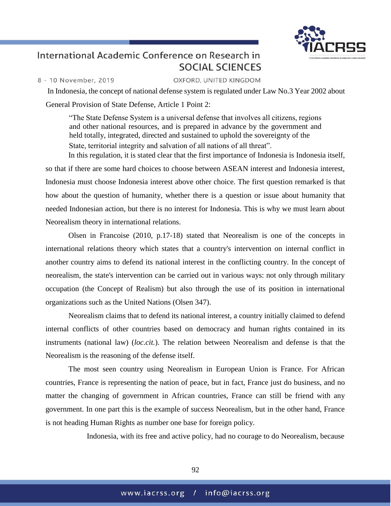

8 - 10 November, 2019

OXFORD, UNITED KINGDOM

In Indonesia, the concept of national defense system is regulated under Law No.3 Year 2002 about General Provision of State Defense, Article 1 Point 2:

"The State Defense System is a universal defense that involves all citizens, regions and other national resources, and is prepared in advance by the government and held totally, integrated, directed and sustained to uphold the sovereignty of the State, territorial integrity and salvation of all nations of all threat".

In this regulation, it is stated clear that the first importance of Indonesia is Indonesia itself, so that if there are some hard choices to choose between ASEAN interest and Indonesia interest, Indonesia must choose Indonesia interest above other choice. The first question remarked is that how about the question of humanity, whether there is a question or issue about humanity that needed Indonesian action, but there is no interest for Indonesia. This is why we must learn about Neorealism theory in international relations.

Olsen in Francoise (2010, p.17-18) stated that Neorealism is one of the concepts in international relations theory which states that a country's intervention on internal conflict in another country aims to defend its national interest in the conflicting country. In the concept of neorealism, the state's intervention can be carried out in various ways: not only through military occupation (the Concept of Realism) but also through the use of its position in international organizations such as the United Nations (Olsen 347).

Neorealism claims that to defend its national interest, a country initially claimed to defend internal conflicts of other countries based on democracy and human rights contained in its instruments (national law) (*loc.cit.*). The relation between Neorealism and defense is that the Neorealism is the reasoning of the defense itself.

The most seen country using Neorealism in European Union is France. For African countries, France is representing the nation of peace, but in fact, France just do business, and no matter the changing of government in African countries, France can still be friend with any government. In one part this is the example of success Neorealism, but in the other hand, France is not heading Human Rights as number one base for foreign policy.

Indonesia, with its free and active policy, had no courage to do Neorealism, because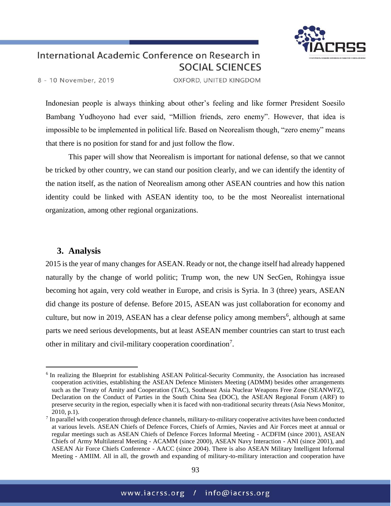

8 - 10 November, 2019

OXFORD, UNITED KINGDOM

Indonesian people is always thinking about other's feeling and like former President Soesilo Bambang Yudhoyono had ever said, "Million friends, zero enemy". However, that idea is impossible to be implemented in political life. Based on Neorealism though, "zero enemy" means that there is no position for stand for and just follow the flow.

This paper will show that Neorealism is important for national defense, so that we cannot be tricked by other country, we can stand our position clearly, and we can identify the identity of the nation itself, as the nation of Neorealism among other ASEAN countries and how this nation identity could be linked with ASEAN identity too, to be the most Neorealist international organization, among other regional organizations.

#### **3. Analysis**

 $\overline{a}$ 

2015 is the year of many changes for ASEAN. Ready or not, the change itself had already happened naturally by the change of world politic; Trump won, the new UN SecGen, Rohingya issue becoming hot again, very cold weather in Europe, and crisis is Syria. In 3 (three) years, ASEAN did change its posture of defense. Before 2015, ASEAN was just collaboration for economy and culture, but now in 2019, ASEAN has a clear defense policy among members<sup>6</sup>, although at same parts we need serious developments, but at least ASEAN member countries can start to trust each other in military and civil-military cooperation coordination<sup>7</sup>.

<sup>&</sup>lt;sup>6</sup> In realizing the Blueprint for establishing ASEAN Political-Security Community, the Association has increased cooperation activities, establishing the ASEAN Defence Ministers Meeting (ADMM) besides other arrangements such as the Treaty of Amity and Cooperation (TAC), Southeast Asia Nuclear Weapons Free Zone (SEANWFZ), Declaration on the Conduct of Parties in the South China Sea (DOC), the ASEAN Regional Forum (ARF) to preserve security in the region, especially when it is faced with non-traditional security threats (Asia News Monitor, 2010, p.1).

 $<sup>7</sup>$  In parallel with cooperation through defence channels, military-to-military cooperative activites have been conducted</sup> at various levels. ASEAN Chiefs of Defence Forces, Chiefs of Armies, Navies and Air Forces meet at annual or regular meetings such as ASEAN Chiefs of Defence Forces Informal Meeting - ACDFIM (since 2001), ASEAN Chiefs of Army Multilateral Meeting - ACAMM (since 2000), ASEAN Navy Interaction - ANI (since 2001), and ASEAN Air Force Chiefs Conference - AACC (since 2004). There is also ASEAN Military Intelligent Informal Meeting - AMIIM. All in all, the growth and expanding of military-to-military interaction and cooperation have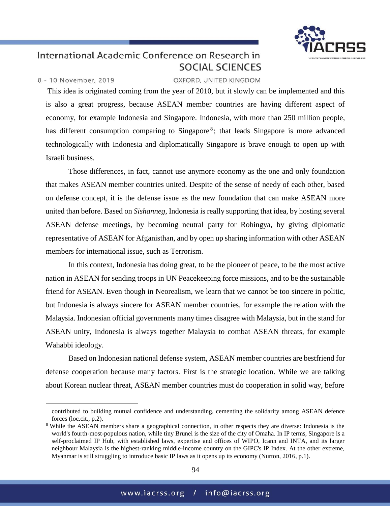

#### 8 - 10 November, 2019

 $\overline{a}$ 

#### OXFORD, UNITED KINGDOM

This idea is originated coming from the year of 2010, but it slowly can be implemented and this is also a great progress, because ASEAN member countries are having different aspect of economy, for example Indonesia and Singapore. Indonesia, with more than 250 million people, has different consumption comparing to Singapore<sup>8</sup>; that leads Singapore is more advanced technologically with Indonesia and diplomatically Singapore is brave enough to open up with Israeli business.

Those differences, in fact, cannot use anymore economy as the one and only foundation that makes ASEAN member countries united. Despite of the sense of needy of each other, based on defense concept, it is the defense issue as the new foundation that can make ASEAN more united than before. Based on *Sishanneg*, Indonesia is really supporting that idea, by hosting several ASEAN defense meetings, by becoming neutral party for Rohingya, by giving diplomatic representative of ASEAN for Afganisthan, and by open up sharing information with other ASEAN members for international issue, such as Terrorism.

In this context, Indonesia has doing great, to be the pioneer of peace, to be the most active nation in ASEAN for sending troops in UN Peacekeeping force missions, and to be the sustainable friend for ASEAN. Even though in Neorealism, we learn that we cannot be too sincere in politic, but Indonesia is always sincere for ASEAN member countries, for example the relation with the Malaysia. Indonesian official governments many times disagree with Malaysia, but in the stand for ASEAN unity, Indonesia is always together Malaysia to combat ASEAN threats, for example Wahabbi ideology.

Based on Indonesian national defense system, ASEAN member countries are bestfriend for defense cooperation because many factors. First is the strategic location. While we are talking about Korean nuclear threat, ASEAN member countries must do cooperation in solid way, before

contributed to building mutual confidence and understanding, cementing the solidarity among ASEAN defence forces (loc.cit., p.2).

<sup>8</sup> While the ASEAN members share a geographical connection, in other respects they are diverse: Indonesia is the world's fourth-most-populous nation, while tiny Brunei is the size of the city of Omaha. In IP terms, Singapore is a self-proclaimed IP Hub, with established laws, expertise and offices of WIPO, Icann and INTA, and its larger neighbour Malaysia is the highest-ranking middle-income country on the GIPC's IP Index. At the other extreme, Myanmar is still struggling to introduce basic IP laws as it opens up its economy (Nurton, 2016, p.1).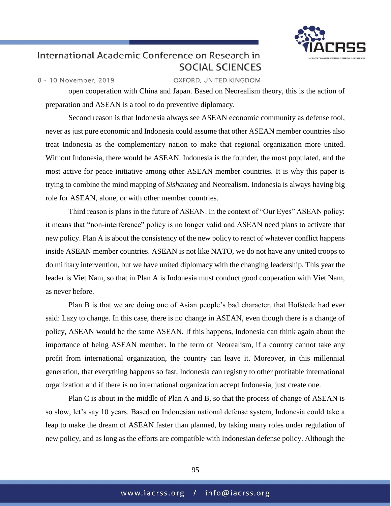

8 - 10 November, 2019

OXFORD, UNITED KINGDOM

open cooperation with China and Japan. Based on Neorealism theory, this is the action of preparation and ASEAN is a tool to do preventive diplomacy.

Second reason is that Indonesia always see ASEAN economic community as defense tool, never as just pure economic and Indonesia could assume that other ASEAN member countries also treat Indonesia as the complementary nation to make that regional organization more united. Without Indonesia, there would be ASEAN. Indonesia is the founder, the most populated, and the most active for peace initiative among other ASEAN member countries. It is why this paper is trying to combine the mind mapping of *Sishanneg* and Neorealism. Indonesia is always having big role for ASEAN, alone, or with other member countries.

Third reason is plans in the future of ASEAN. In the context of "Our Eyes" ASEAN policy; it means that "non-interference" policy is no longer valid and ASEAN need plans to activate that new policy. Plan A is about the consistency of the new policy to react of whatever conflict happens inside ASEAN member countries. ASEAN is not like NATO, we do not have any united troops to do military intervention, but we have united diplomacy with the changing leadership. This year the leader is Viet Nam, so that in Plan A is Indonesia must conduct good cooperation with Viet Nam, as never before.

Plan B is that we are doing one of Asian people's bad character, that Hofstede had ever said: Lazy to change. In this case, there is no change in ASEAN, even though there is a change of policy, ASEAN would be the same ASEAN. If this happens, Indonesia can think again about the importance of being ASEAN member. In the term of Neorealism, if a country cannot take any profit from international organization, the country can leave it. Moreover, in this millennial generation, that everything happens so fast, Indonesia can registry to other profitable international organization and if there is no international organization accept Indonesia, just create one.

Plan C is about in the middle of Plan A and B, so that the process of change of ASEAN is so slow, let's say 10 years. Based on Indonesian national defense system, Indonesia could take a leap to make the dream of ASEAN faster than planned, by taking many roles under regulation of new policy, and as long as the efforts are compatible with Indonesian defense policy. Although the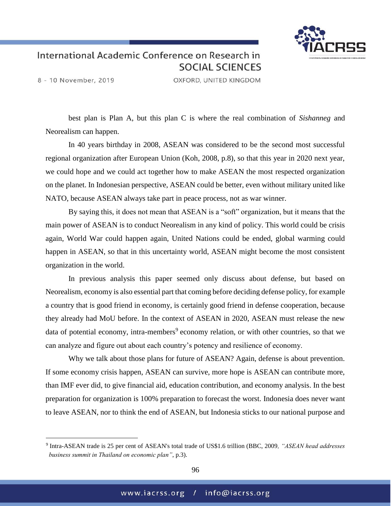

8 - 10 November, 2019

 $\overline{a}$ 

OXFORD, UNITED KINGDOM

best plan is Plan A, but this plan C is where the real combination of *Sishanneg* and Neorealism can happen.

In 40 years birthday in 2008, ASEAN was considered to be the second most successful regional organization after European Union (Koh, 2008, p.8), so that this year in 2020 next year, we could hope and we could act together how to make ASEAN the most respected organization on the planet. In Indonesian perspective, ASEAN could be better, even without military united like NATO, because ASEAN always take part in peace process, not as war winner.

By saying this, it does not mean that ASEAN is a "soft" organization, but it means that the main power of ASEAN is to conduct Neorealism in any kind of policy. This world could be crisis again, World War could happen again, United Nations could be ended, global warming could happen in ASEAN, so that in this uncertainty world, ASEAN might become the most consistent organization in the world.

In previous analysis this paper seemed only discuss about defense, but based on Neorealism, economy is also essential part that coming before deciding defense policy, for example a country that is good friend in economy, is certainly good friend in defense cooperation, because they already had MoU before. In the context of ASEAN in 2020, ASEAN must release the new data of potential economy, intra-members<sup>9</sup> economy relation, or with other countries, so that we can analyze and figure out about each country's potency and resilience of economy.

Why we talk about those plans for future of ASEAN? Again, defense is about prevention. If some economy crisis happen, ASEAN can survive, more hope is ASEAN can contribute more, than IMF ever did, to give financial aid, education contribution, and economy analysis. In the best preparation for organization is 100% preparation to forecast the worst. Indonesia does never want to leave ASEAN, nor to think the end of ASEAN, but Indonesia sticks to our national purpose and

<sup>9</sup> Intra-ASEAN trade is 25 per cent of ASEAN's total trade of US\$1.6 trillion (BBC, 2009*, "ASEAN head addresses business summit in Thailand on economic plan"*, p.3).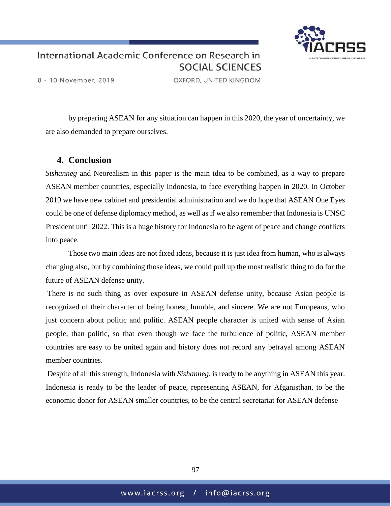

8 - 10 November, 2019

OXFORD, UNITED KINGDOM

by preparing ASEAN for any situation can happen in this 2020, the year of uncertainty, we are also demanded to prepare ourselves.

#### **4. Conclusion**

*Sishanneg* and Neorealism in this paper is the main idea to be combined, as a way to prepare ASEAN member countries, especially Indonesia, to face everything happen in 2020. In October 2019 we have new cabinet and presidential administration and we do hope that ASEAN One Eyes could be one of defense diplomacy method, as well as if we also remember that Indonesia is UNSC President until 2022. This is a huge history for Indonesia to be agent of peace and change conflicts into peace.

Those two main ideas are not fixed ideas, because it is just idea from human, who is always changing also, but by combining those ideas, we could pull up the most realistic thing to do for the future of ASEAN defense unity.

There is no such thing as over exposure in ASEAN defense unity, because Asian people is recognized of their character of being honest, humble, and sincere. We are not Europeans, who just concern about politic and politic. ASEAN people character is united with sense of Asian people, than politic, so that even though we face the turbulence of politic, ASEAN member countries are easy to be united again and history does not record any betrayal among ASEAN member countries.

Despite of all this strength, Indonesia with *Sishanneg*, is ready to be anything in ASEAN this year. Indonesia is ready to be the leader of peace, representing ASEAN, for Afganisthan, to be the economic donor for ASEAN smaller countries, to be the central secretariat for ASEAN defense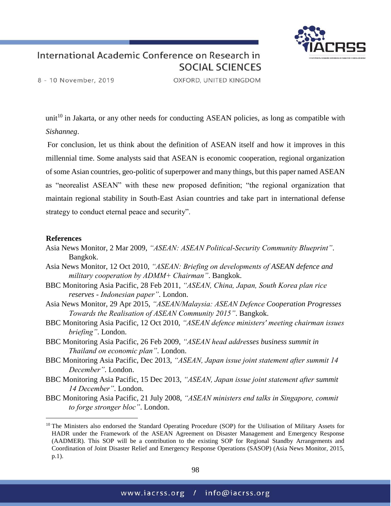

8 - 10 November, 2019

OXFORD, UNITED KINGDOM

unit<sup>10</sup> in Jakarta, or any other needs for conducting ASEAN policies, as long as compatible with *Sishanneg*.

For conclusion, let us think about the definition of ASEAN itself and how it improves in this millennial time. Some analysts said that ASEAN is economic cooperation, regional organization of some Asian countries, geo-politic of superpower and many things, but this paper named ASEAN as "neorealist ASEAN" with these new proposed definition; "the regional organization that maintain regional stability in South-East Asian countries and take part in international defense strategy to conduct eternal peace and security".

#### **References**

 $\overline{a}$ 

- Asia News Monitor, 2 Mar 2009, *"ASEAN: ASEAN Political-Security Community Blueprint"*. Bangkok.
- Asia News Monitor, 12 Oct 2010, *"ASEAN: Briefing on developments of ASEAN defence and military cooperation by ADMM+ Chairman"*. Bangkok.
- BBC Monitoring Asia Pacific, 28 Feb 2011, *"ASEAN, China, Japan, South Korea plan rice reserves - Indonesian paper"*. London.
- Asia News Monitor, 29 Apr 2015, *"ASEAN/Malaysia: ASEAN Defence Cooperation Progresses Towards the Realisation of ASEAN Community 2015"*. Bangkok.
- BBC Monitoring Asia Pacific, 12 Oct 2010, *"ASEAN defence ministers' meeting chairman issues briefing"*. London.
- BBC Monitoring Asia Pacific, 26 Feb 2009, *"ASEAN head addresses business summit in Thailand on economic plan"*. London.
- BBC Monitoring Asia Pacific, Dec 2013, *"ASEAN, Japan issue joint statement after summit 14 December"*. London.
- BBC Monitoring Asia Pacific, 15 Dec 2013, *"ASEAN, Japan issue joint statement after summit 14 December"*. London.
- BBC Monitoring Asia Pacific, 21 July 2008, *"ASEAN ministers end talks in Singapore, commit to forge stronger bloc"*. London.

<sup>&</sup>lt;sup>10</sup> The Ministers also endorsed the Standard Operating Procedure (SOP) for the Utilisation of Military Assets for HADR under the Framework of the ASEAN Agreement on Disaster Management and Emergency Response (AADMER). This SOP will be a contribution to the existing SOP for Regional Standby Arrangements and Coordination of Joint Disaster Relief and Emergency Response Operations (SASOP) (Asia News Monitor, 2015, p.1).